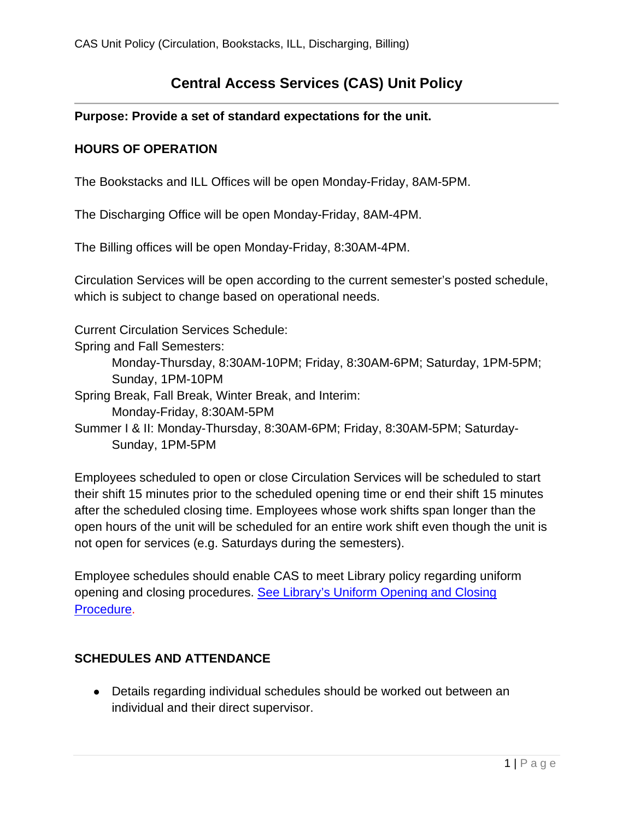# **Central Access Services (CAS) Unit Policy**

## **Purpose: Provide a set of standard expectations for the unit.**

## **HOURS OF OPERATION**

The Bookstacks and ILL Offices will be open Monday-Friday, 8AM-5PM.

The Discharging Office will be open Monday-Friday, 8AM-4PM.

The Billing offices will be open Monday-Friday, 8:30AM-4PM.

Circulation Services will be open according to the current semester's posted schedule, which is subject to change based on operational needs.

Current Circulation Services Schedule:

Spring and Fall Semesters: Monday-Thursday, 8:30AM-10PM; Friday, 8:30AM-6PM; Saturday, 1PM-5PM; Sunday, 1PM-10PM Spring Break, Fall Break, Winter Break, and Interim: Monday-Friday, 8:30AM-5PM Summer I & II: Monday-Thursday, 8:30AM-6PM; Friday, 8:30AM-5PM; Saturday-Sunday, 1PM-5PM

Employees scheduled to open or close Circulation Services will be scheduled to start their shift 15 minutes prior to the scheduled opening time or end their shift 15 minutes after the scheduled closing time. Employees whose work shifts span longer than the open hours of the unit will be scheduled for an entire work shift even though the unit is not open for services (e.g. Saturdays during the semesters).

Employee schedules should enable CAS to meet Library policy regarding uniform opening and closing procedures. [See Library's Uniform Opening and Closing](https://www.library.illinois.edu/staff/policies/uniform_opening_closing_procedures/)  [Procedure.](https://www.library.illinois.edu/staff/policies/uniform_opening_closing_procedures/)

## **SCHEDULES AND ATTENDANCE**

• Details regarding individual schedules should be worked out between an individual and their direct supervisor.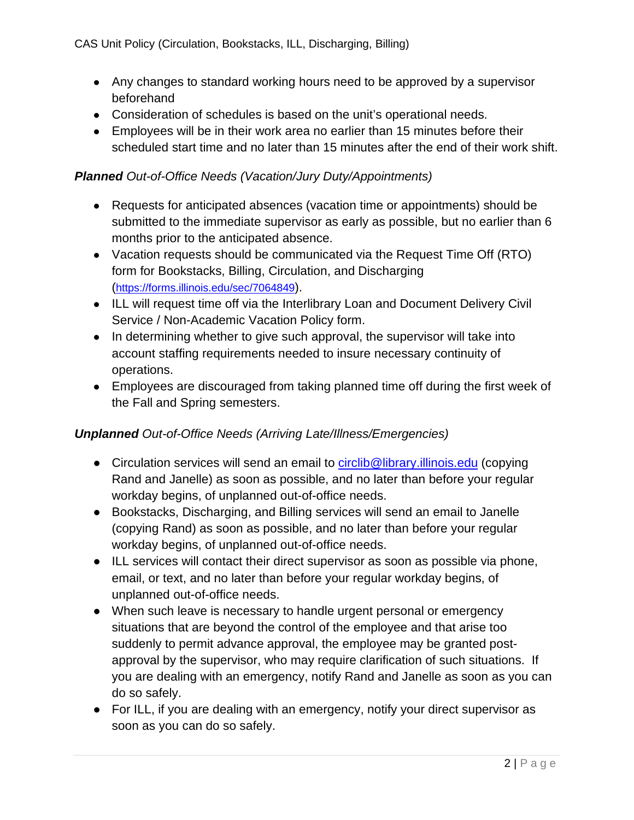- Any changes to standard working hours need to be approved by a supervisor beforehand
- Consideration of schedules is based on the unit's operational needs.
- Employees will be in their work area no earlier than 15 minutes before their scheduled start time and no later than 15 minutes after the end of their work shift.

#### *Planned Out-of-Office Needs (Vacation/Jury Duty/Appointments)*

- Requests for anticipated absences (vacation time or appointments) should be submitted to the immediate supervisor as early as possible, but no earlier than 6 months prior to the anticipated absence.
- Vacation requests should be communicated via the Request Time Off (RTO) form for Bookstacks, Billing, Circulation, and Discharging [\(https://forms.illinois.edu/sec/7064849\)](https://forms.illinois.edu/sec/7064849).
- ILL will request time off via the Interlibrary Loan and Document Delivery Civil Service / Non-Academic Vacation Policy form.
- In determining whether to give such approval, the supervisor will take into account staffing requirements needed to insure necessary continuity of operations.
- Employees are discouraged from taking planned time off during the first week of the Fall and Spring semesters.

#### *Unplanned Out-of-Office Needs (Arriving Late/Illness/Emergencies)*

- Circulation services will send an email to [circlib@library.illinois.edu](mailto:circlib@library.illinois.edu) (copying Rand and Janelle) as soon as possible, and no later than before your regular workday begins, of unplanned out-of-office needs.
- Bookstacks, Discharging, and Billing services will send an email to Janelle (copying Rand) as soon as possible, and no later than before your regular workday begins, of unplanned out-of-office needs.
- ILL services will contact their direct supervisor as soon as possible via phone, email, or text, and no later than before your regular workday begins, of unplanned out-of-office needs.
- When such leave is necessary to handle urgent personal or emergency situations that are beyond the control of the employee and that arise too suddenly to permit advance approval, the employee may be granted postapproval by the supervisor, who may require clarification of such situations. If you are dealing with an emergency, notify Rand and Janelle as soon as you can do so safely.
- For ILL, if you are dealing with an emergency, notify your direct supervisor as soon as you can do so safely.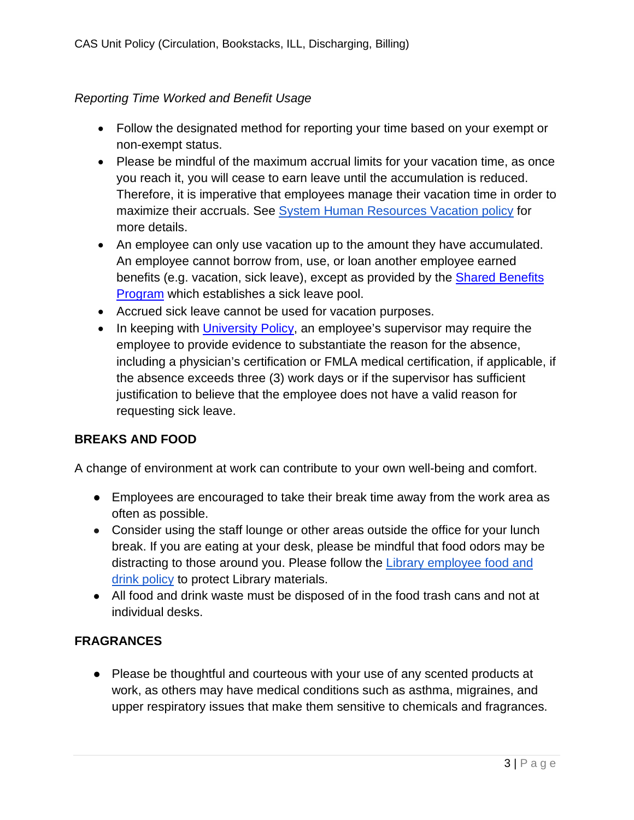## *Reporting Time Worked and Benefit Usage*

- Follow the designated method for reporting your time based on your exempt or non-exempt status.
- Please be mindful of the maximum accrual limits for your vacation time, as once you reach it, you will cease to earn leave until the accumulation is reduced. Therefore, it is imperative that employees manage their vacation time in order to maximize their accruals. See [System Human Resources Vacation policy](https://www.hr.uillinois.edu/cms/One.aspx?portalId=4292&pageId=5636#accruals) for more details.
- An employee can only use vacation up to the amount they have accumulated. An employee cannot borrow from, use, or loan another employee earned benefits (e.g. vacation, sick leave), except as provided by the [Shared Benefits](https://www.hr.uillinois.edu/leave/sharedbenefits)  [Program](https://www.hr.uillinois.edu/leave/sharedbenefits) which establishes a sick leave pool.
- Accrued sick leave cannot be used for vacation purposes.
- In keeping with [University Policy,](https://nessie.uihr.uillinois.edu/PDF/policy/rules/pr7chap.pdf) an employee's supervisor may require the employee to provide evidence to substantiate the reason for the absence, including a physician's certification or FMLA medical certification, if applicable, if the absence exceeds three (3) work days or if the supervisor has sufficient justification to believe that the employee does not have a valid reason for requesting sick leave.

#### **BREAKS AND FOOD**

A change of environment at work can contribute to your own well-being and comfort.

- Employees are encouraged to take their break time away from the work area as often as possible.
- Consider using the staff lounge or other areas outside the office for your lunch break. If you are eating at your desk, please be mindful that food odors may be distracting to those around you. Please follow the [Library employee food and](https://www.library.illinois.edu/staff/preservation/about_us/policies_procedures/food_drink_policy/)  [drink policy](https://www.library.illinois.edu/staff/preservation/about_us/policies_procedures/food_drink_policy/) to protect Library materials.
- All food and drink waste must be disposed of in the food trash cans and not at individual desks.

#### **FRAGRANCES**

• Please be thoughtful and courteous with your use of any scented products at work, as others may have medical conditions such as asthma, migraines, and upper respiratory issues that make them sensitive to chemicals and fragrances.